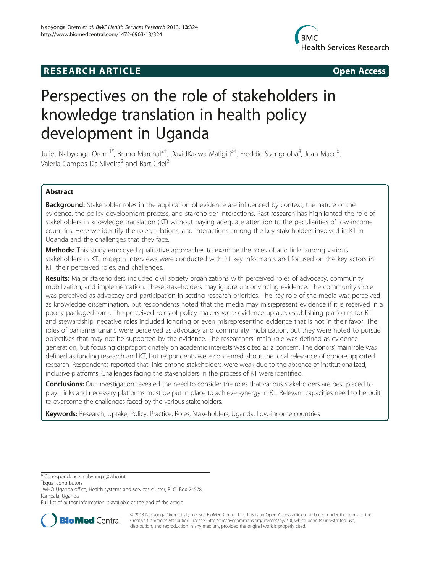## **RESEARCH ARTICLE Example 2014 12:25 Open Access**



# Perspectives on the role of stakeholders in knowledge translation in health policy development in Uganda

Juliet Nabyonga Orem<sup>1\*</sup>, Bruno Marchal<sup>2†</sup>, DavidKaawa Mafigiri<sup>3†</sup>, Freddie Ssengooba<sup>4</sup>, Jean Macq<sup>5</sup> , Valeria Campos Da Silveira<sup>2</sup> and Bart Criel<sup>2</sup>

### Abstract

**Background:** Stakeholder roles in the application of evidence are influenced by context, the nature of the evidence, the policy development process, and stakeholder interactions. Past research has highlighted the role of stakeholders in knowledge translation (KT) without paying adequate attention to the peculiarities of low-income countries. Here we identify the roles, relations, and interactions among the key stakeholders involved in KT in Uganda and the challenges that they face.

**Methods:** This study employed qualitative approaches to examine the roles of and links among various stakeholders in KT. In-depth interviews were conducted with 21 key informants and focused on the key actors in KT, their perceived roles, and challenges.

Results: Major stakeholders included civil society organizations with perceived roles of advocacy, community mobilization, and implementation. These stakeholders may ignore unconvincing evidence. The community's role was perceived as advocacy and participation in setting research priorities. The key role of the media was perceived as knowledge dissemination, but respondents noted that the media may misrepresent evidence if it is received in a poorly packaged form. The perceived roles of policy makers were evidence uptake, establishing platforms for KT and stewardship; negative roles included ignoring or even misrepresenting evidence that is not in their favor. The roles of parliamentarians were perceived as advocacy and community mobilization, but they were noted to pursue objectives that may not be supported by the evidence. The researchers' main role was defined as evidence generation, but focusing disproportionately on academic interests was cited as a concern. The donors' main role was defined as funding research and KT, but respondents were concerned about the local relevance of donor-supported research. Respondents reported that links among stakeholders were weak due to the absence of institutionalized, inclusive platforms. Challenges facing the stakeholders in the process of KT were identified.

Conclusions: Our investigation revealed the need to consider the roles that various stakeholders are best placed to play. Links and necessary platforms must be put in place to achieve synergy in KT. Relevant capacities need to be built to overcome the challenges faced by the various stakeholders.

Keywords: Research, Uptake, Policy, Practice, Roles, Stakeholders, Uganda, Low-income countries

Full list of author information is available at the end of the article



© 2013 Nabyonga Orem et al.; licensee BioMed Central Ltd. This is an Open Access article distributed under the terms of the Creative Commons Attribution License (<http://creativecommons.org/licenses/by/2.0>), which permits unrestricted use, distribution, and reproduction in any medium, provided the original work is properly cited.

<sup>\*</sup> Correspondence: [nabyongaj@who.int](mailto:nabyongaj@who.int) †

Equal contributors

<sup>&</sup>lt;sup>1</sup>WHO Uganda office, Health systems and services cluster, P. O. Box 24578, Kampala, Uganda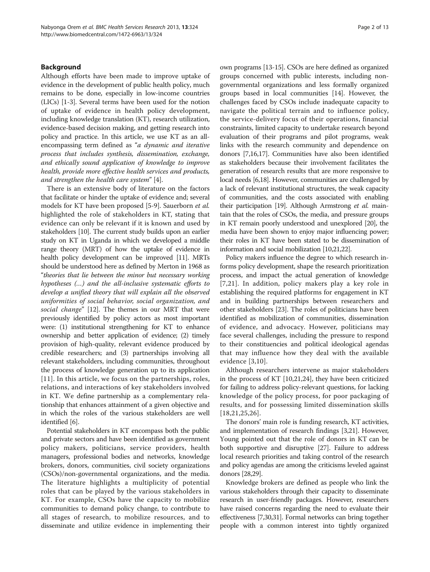#### **Background**

Although efforts have been made to improve uptake of evidence in the development of public health policy, much remains to be done, especially in low-income countries (LICs) [\[1-3](#page-11-0)]. Several terms have been used for the notion of uptake of evidence in health policy development, including knowledge translation (KT), research utilization, evidence-based decision making, and getting research into policy and practice. In this article, we use KT as an allencompassing term defined as "a dynamic and iterative process that includes synthesis, dissemination, exchange, and ethically sound application of knowledge to improve health, provide more effective health services and products, and strengthen the health care system" [[4\]](#page-11-0).

There is an extensive body of literature on the factors that facilitate or hinder the uptake of evidence and; several models for KT have been proposed [[5-9](#page-11-0)]. Sauerborn et al. highlighted the role of stakeholders in KT, stating that evidence can only be relevant if it is known and used by stakeholders [\[10\]](#page-11-0). The current study builds upon an earlier study on KT in Uganda in which we developed a middle range theory (MRT) of how the uptake of evidence in health policy development can be improved [\[11\]](#page-11-0). MRTs should be understood here as defined by Merton in 1968 as "theories that lie between the minor but necessary working hypotheses (…) and the all-inclusive systematic efforts to develop a unified theory that will explain all the observed uniformities of social behavior, social organization, and social change" [\[12\]](#page-11-0). The themes in our MRT that were previously identified by policy actors as most important were: (1) institutional strengthening for KT to enhance ownership and better application of evidence; (2) timely provision of high-quality, relevant evidence produced by credible researchers; and (3) partnerships involving all relevant stakeholders, including communities, throughout the process of knowledge generation up to its application [[11](#page-11-0)]. In this article, we focus on the partnerships, roles, relations, and interactions of key stakeholders involved in KT. We define partnership as a complementary relationship that enhances attainment of a given objective and in which the roles of the various stakeholders are well identified [[6\]](#page-11-0).

Potential stakeholders in KT encompass both the public and private sectors and have been identified as government policy makers, politicians, service providers, health managers, professional bodies and networks, knowledge brokers, donors, communities, civil society organizations (CSOs)/non-governmental organizations, and the media. The literature highlights a multiplicity of potential roles that can be played by the various stakeholders in KT. For example, CSOs have the capacity to mobilize communities to demand policy change, to contribute to all stages of research, to mobilize resources, and to disseminate and utilize evidence in implementing their

own programs [[13](#page-11-0)-[15](#page-11-0)]. CSOs are here defined as organized groups concerned with public interests, including nongovernmental organizations and less formally organized groups based in local communities [\[14\]](#page-11-0). However, the challenges faced by CSOs include inadequate capacity to navigate the political terrain and to influence policy, the service-delivery focus of their operations, financial constraints, limited capacity to undertake research beyond evaluation of their programs and pilot programs, weak links with the research community and dependence on donors [[7,16,17\]](#page-11-0). Communities have also been identified as stakeholders because their involvement facilitates the generation of research results that are more responsive to local needs [\[6,18\]](#page-11-0). However, communities are challenged by a lack of relevant institutional structures, the weak capacity of communities, and the costs associated with enabling their participation [[19](#page-11-0)]. Although Armstrong et al. maintain that the roles of CSOs, the media, and pressure groups in KT remain poorly understood and unexplored [\[20\]](#page-11-0), the media have been shown to enjoy major influencing power; their roles in KT have been stated to be dissemination of information and social mobilization [\[10,21,22](#page-11-0)].

Policy makers influence the degree to which research informs policy development, shape the research prioritization process, and impact the actual generation of knowledge [[7,21\]](#page-11-0). In addition, policy makers play a key role in establishing the required platforms for engagement in KT and in building partnerships between researchers and other stakeholders [[23](#page-11-0)]. The roles of politicians have been identified as mobilization of communities, dissemination of evidence, and advocacy. However, politicians may face several challenges, including the pressure to respond to their constituencies and political ideological agendas that may influence how they deal with the available evidence [[3,10](#page-11-0)].

Although researchers intervene as major stakeholders in the process of KT [\[10,21,24\]](#page-11-0), they have been criticized for failing to address policy-relevant questions, for lacking knowledge of the policy process, for poor packaging of results, and for possessing limited dissemination skills [[18](#page-11-0),[21,25](#page-11-0),[26\]](#page-11-0).

The donors' main role is funding research, KT activities, and implementation of research findings [\[3,21\]](#page-11-0). However, Young pointed out that the role of donors in KT can be both supportive and disruptive [\[27\]](#page-11-0). Failure to address local research priorities and taking control of the research and policy agendas are among the criticisms leveled against donors [[28,29\]](#page-11-0).

Knowledge brokers are defined as people who link the various stakeholders through their capacity to disseminate research in user-friendly packages. However, researchers have raised concerns regarding the need to evaluate their effectiveness [[7,30,31](#page-11-0)]. Formal networks can bring together people with a common interest into tightly organized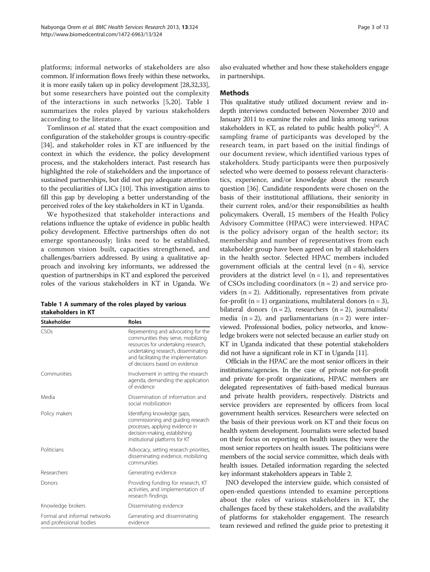platforms; informal networks of stakeholders are also common. If information flows freely within these networks, it is more easily taken up in policy development [[28,32,33](#page-11-0)], but some researchers have pointed out the complexity of the interactions in such networks [\[5](#page-11-0),[20\]](#page-11-0). Table 1 summarizes the roles played by various stakeholders according to the literature.

Tomlinson et al. stated that the exact composition and configuration of the stakeholder groups is country-specific [[34](#page-11-0)], and stakeholder roles in KT are influenced by the context in which the evidence, the policy development process, and the stakeholders interact. Past research has highlighted the role of stakeholders and the importance of sustained partnerships, but did not pay adequate attention to the peculiarities of LICs [\[10\]](#page-11-0). This investigation aims to fill this gap by developing a better understanding of the perceived roles of the key stakeholders in KT in Uganda.

We hypothesized that stakeholder interactions and relations influence the uptake of evidence in public health policy development. Effective partnerships often do not emerge spontaneously; links need to be established, a common vision built, capacities strengthened, and challenges/barriers addressed. By using a qualitative approach and involving key informants, we addressed the question of partnerships in KT and explored the perceived roles of the various stakeholders in KT in Uganda. We

| Table 1 A summary of the roles played by various |  |
|--------------------------------------------------|--|
| stakeholders in KT                               |  |

| <b>Stakeholder</b>                                      | Roles                                                                                                                                                                                                                            |
|---------------------------------------------------------|----------------------------------------------------------------------------------------------------------------------------------------------------------------------------------------------------------------------------------|
| CSOS                                                    | Representing and advocating for the<br>communities they serve, mobilizing<br>resources for undertaking research,<br>undertaking research, disseminating<br>and facilitating the implementation<br>of decisions based on evidence |
| Communities                                             | Involvement in setting the research<br>agenda, demanding the application<br>of evidence                                                                                                                                          |
| Media                                                   | Dissemination of information and<br>social mobilization                                                                                                                                                                          |
| Policy makers                                           | Identifying knowledge gaps,<br>commissioning and quiding research<br>processes, applying evidence in<br>decision-making, establishing<br>institutional platforms for KT                                                          |
| Politicians                                             | Advocacy, setting research priorities,<br>disseminating evidence, mobilizing<br>communities                                                                                                                                      |
| Researchers                                             | Generating evidence                                                                                                                                                                                                              |
| Donors                                                  | Providing funding for research, KT<br>activities, and implementation of<br>research findings                                                                                                                                     |
| Knowledge brokers                                       | Disseminating evidence                                                                                                                                                                                                           |
| Formal and informal networks<br>and professional bodies | Generating and disseminating<br>evidence                                                                                                                                                                                         |

also evaluated whether and how these stakeholders engage in partnerships.

#### **Methods**

This qualitative study utilized document review and indepth interviews conducted between November 2010 and January 2011 to examine the roles and links among various stakeholders in KT, as related to public health policy<sup>[a]</sup>. A sampling frame of participants was developed by the research team, in part based on the initial findings of our document review, which identified various types of stakeholders. Study participants were then purposively selected who were deemed to possess relevant characteristics, experience, and/or knowledge about the research question [\[36\]](#page-11-0). Candidate respondents were chosen on the basis of their institutional affiliations, their seniority in their current roles, and/or their responsibilities as health policymakers. Overall, 15 members of the Health Policy Advisory Committee (HPAC) were interviewed. HPAC is the policy advisory organ of the health sector; its membership and number of representatives from each stakeholder group have been agreed on by all stakeholders in the health sector. Selected HPAC members included government officials at the central level  $(n = 4)$ , service providers at the district level  $(n = 1)$ , and representatives of CSOs including coordinators  $(n = 2)$  and service providers  $(n = 2)$ . Additionally, representatives from private for-profit ( $n = 1$ ) organizations, multilateral donors ( $n = 3$ ), bilateral donors  $(n = 2)$ , researchers  $(n = 2)$ , journalists/ media  $(n = 2)$ , and parliamentarians  $(n = 2)$  were interviewed. Professional bodies, policy networks, and knowledge brokers were not selected because an earlier study on KT in Uganda indicated that these potential stakeholders did not have a significant role in KT in Uganda [\[11\]](#page-11-0).

Officials in the HPAC are the most senior officers in their institutions/agencies. In the case of private not-for-profit and private for-profit organizations, HPAC members are delegated representatives of faith-based medical bureaus and private health providers, respectively. Districts and service providers are represented by officers from local government health services. Researchers were selected on the basis of their previous work on KT and their focus on health system development. Journalists were selected based on their focus on reporting on health issues; they were the most senior reporters on health issues. The politicians were members of the social service committee, which deals with health issues. Detailed information regarding the selected key informant stakeholders appears in Table [2](#page-3-0).

JNO developed the interview guide, which consisted of open-ended questions intended to examine perceptions about the roles of various stakeholders in KT, the challenges faced by these stakeholders, and the availability of platforms for stakeholder engagement. The research team reviewed and refined the guide prior to pretesting it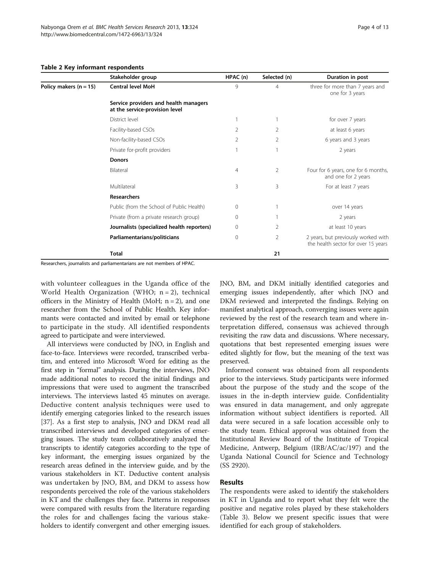|                                   | Stakeholder group                                                       | HPAC (n) | Selected (n)   | Duration in post                                                           |
|-----------------------------------|-------------------------------------------------------------------------|----------|----------------|----------------------------------------------------------------------------|
| Policy makers $(n = 15)$<br>Total | <b>Central level MoH</b>                                                | 9        | $\overline{4}$ | three for more than 7 years and<br>one for 3 years                         |
|                                   | Service providers and health managers<br>at the service-provision level |          |                |                                                                            |
|                                   | District level                                                          |          |                | for over 7 years                                                           |
|                                   | Facility-based CSOs                                                     | 2        | 2              | at least 6 years                                                           |
|                                   | Non-facility-based CSOs                                                 | 2        | $\mathcal{P}$  | 6 years and 3 years                                                        |
|                                   | Private for-profit providers                                            | 1        |                | 2 years                                                                    |
|                                   | <b>Donors</b>                                                           |          |                |                                                                            |
|                                   | Bilateral                                                               | 4        | $\overline{2}$ | Four for 6 years, one for 6 months,<br>and one for 2 years                 |
|                                   | Multilateral                                                            | 3        | 3              | For at least 7 years                                                       |
|                                   | Researchers                                                             |          |                |                                                                            |
|                                   | Public (from the School of Public Health)                               | 0        |                | over 14 years                                                              |
|                                   | Private (from a private research group)                                 | 0        |                | 2 years                                                                    |
|                                   | Journalists (specialized health reporters)                              | 0        | 2              | at least 10 years                                                          |
|                                   | Parliamentarians/politicians                                            | 0        | 2              | 2 years, but previously worked with<br>the health sector for over 15 years |
|                                   |                                                                         |          | 21             |                                                                            |

#### <span id="page-3-0"></span>Table 2 Key informant respondents

Researchers, journalists and parliamentarians are not members of HPAC.

with volunteer colleagues in the Uganda office of the World Health Organization (WHO; n = 2), technical officers in the Ministry of Health (MoH;  $n = 2$ ), and one researcher from the School of Public Health. Key informants were contacted and invited by email or telephone to participate in the study. All identified respondents agreed to participate and were interviewed.

All interviews were conducted by JNO, in English and face-to-face. Interviews were recorded, transcribed verbatim, and entered into Microsoft Word for editing as the first step in "formal" analysis. During the interviews, JNO made additional notes to record the initial findings and impressions that were used to augment the transcribed interviews. The interviews lasted 45 minutes on average. Deductive content analysis techniques were used to identify emerging categories linked to the research issues [[37](#page-12-0)]. As a first step to analysis, JNO and DKM read all transcribed interviews and developed categories of emerging issues. The study team collaboratively analyzed the transcripts to identify categories according to the type of key informant, the emerging issues organized by the research areas defined in the interview guide, and by the various stakeholders in KT. Deductive content analysis was undertaken by JNO, BM, and DKM to assess how respondents perceived the role of the various stakeholders in KT and the challenges they face. Patterns in responses were compared with results from the literature regarding the roles for and challenges facing the various stakeholders to identify convergent and other emerging issues. JNO, BM, and DKM initially identified categories and emerging issues independently, after which JNO and DKM reviewed and interpreted the findings. Relying on manifest analytical approach, converging issues were again reviewed by the rest of the research team and where interpretation differed, consensus was achieved through revisiting the raw data and discussions. Where necessary, quotations that best represented emerging issues were edited slightly for flow, but the meaning of the text was preserved.

Informed consent was obtained from all respondents prior to the interviews. Study participants were informed about the purpose of the study and the scope of the issues in the in-depth interview guide. Confidentiality was ensured in data management, and only aggregate information without subject identifiers is reported. All data were secured in a safe location accessible only to the study team. Ethical approval was obtained from the Institutional Review Board of the Institute of Tropical Medicine, Antwerp, Belgium (IRB/AC/ac/197) and the Uganda National Council for Science and Technology (SS 2920).

#### Results

The respondents were asked to identify the stakeholders in KT in Uganda and to report what they felt were the positive and negative roles played by these stakeholders (Table [3](#page-4-0)). Below we present specific issues that were identified for each group of stakeholders.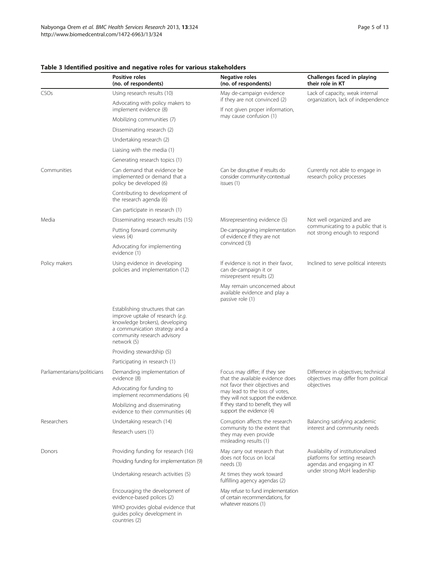|                              | <b>Positive roles</b><br>(no. of respondents)                                                                                                                                          | Negative roles<br>(no. of respondents)                                                                  | Challenges faced in playing<br>their role in KT                                                                                  |  |
|------------------------------|----------------------------------------------------------------------------------------------------------------------------------------------------------------------------------------|---------------------------------------------------------------------------------------------------------|----------------------------------------------------------------------------------------------------------------------------------|--|
| CSOs                         | Using research results (10)                                                                                                                                                            | May de-campaign evidence                                                                                | Lack of capacity, weak internal<br>organization, lack of independence                                                            |  |
|                              | Advocating with policy makers to<br>implement evidence (8)                                                                                                                             | if they are not convinced (2)<br>If not given proper information,                                       |                                                                                                                                  |  |
|                              | Mobilizing communities (7)                                                                                                                                                             | may cause confusion (1)                                                                                 |                                                                                                                                  |  |
|                              | Disseminating research (2)                                                                                                                                                             |                                                                                                         |                                                                                                                                  |  |
|                              | Undertaking research (2)                                                                                                                                                               |                                                                                                         |                                                                                                                                  |  |
|                              | Liaising with the media (1)                                                                                                                                                            |                                                                                                         |                                                                                                                                  |  |
|                              | Generating research topics (1)                                                                                                                                                         |                                                                                                         |                                                                                                                                  |  |
| Communities                  | Can demand that evidence be<br>implemented or demand that a<br>policy be developed (6)                                                                                                 | Can be disruptive if results do<br>consider community-contextual<br>issues (1)                          | Currently not able to engage in<br>research policy processes                                                                     |  |
|                              | Contributing to development of<br>the research agenda (6)                                                                                                                              |                                                                                                         |                                                                                                                                  |  |
|                              | Can participate in research (1)                                                                                                                                                        |                                                                                                         |                                                                                                                                  |  |
| Media                        | Disseminating research results (15)                                                                                                                                                    | Misrepresenting evidence (5)                                                                            | Not well organized and are<br>communicating to a public that is<br>not strong enough to respond                                  |  |
|                              | Putting forward community<br>views $(4)$                                                                                                                                               | De-campaigning implementation<br>of evidence if they are not                                            |                                                                                                                                  |  |
|                              | Advocating for implementing<br>evidence (1)                                                                                                                                            | convinced (3)                                                                                           |                                                                                                                                  |  |
| Policy makers                | Using evidence in developing<br>policies and implementation (12)                                                                                                                       | If evidence is not in their favor,<br>can de-campaign it or<br>misrepresent results (2)                 | Inclined to serve political interests                                                                                            |  |
|                              |                                                                                                                                                                                        | May remain unconcerned about<br>available evidence and play a<br>passive role (1)                       |                                                                                                                                  |  |
|                              | Establishing structures that can<br>improve uptake of research (e.g.<br>knowledge brokers), developing<br>a communication strategy and a<br>community research advisory<br>network (5) |                                                                                                         |                                                                                                                                  |  |
|                              | Providing stewardship (5)                                                                                                                                                              |                                                                                                         |                                                                                                                                  |  |
|                              | Participating in research (1)                                                                                                                                                          |                                                                                                         |                                                                                                                                  |  |
| Parliamentarians/politicians | Demanding implementation of<br>evidence (8)                                                                                                                                            | Focus may differ; if they see<br>that the available evidence does                                       | Difference in objectives; technical<br>objectives may differ from political<br>objectives                                        |  |
|                              | Advocating for funding to<br>implement recommendations (4)                                                                                                                             | not favor their objectives and<br>may lead to the loss of votes,<br>they will not support the evidence. |                                                                                                                                  |  |
|                              | Mobilizing and disseminating<br>evidence to their communities (4)                                                                                                                      | If they stand to benefit, they will<br>support the evidence (4)                                         |                                                                                                                                  |  |
| Researchers                  | Undertaking research (14)                                                                                                                                                              | Corruption affects the research                                                                         | Balancing satisfying academic<br>interest and community needs                                                                    |  |
|                              | Research users (1)                                                                                                                                                                     | community to the extent that<br>they may even provide<br>misleading results (1)                         |                                                                                                                                  |  |
| Donors                       | Providing funding for research (16)                                                                                                                                                    | May carry out research that                                                                             | Availability of institutionalized<br>platforms for setting research<br>agendas and engaging in KT<br>under strong MoH leadership |  |
|                              | Providing funding for implementation (9)                                                                                                                                               | does not focus on local<br>needs (3)                                                                    |                                                                                                                                  |  |
|                              | Undertaking research activities (5)                                                                                                                                                    | At times they work toward<br>fulfilling agency agendas (2)                                              |                                                                                                                                  |  |
|                              | Encouraging the development of<br>evidence-based polices (2)                                                                                                                           | May refuse to fund implementation<br>of certain recommendations, for                                    |                                                                                                                                  |  |
|                              | WHO provides global evidence that<br>guides policy development in<br>countries (2)                                                                                                     | whatever reasons (1)                                                                                    |                                                                                                                                  |  |

#### <span id="page-4-0"></span>Table 3 Identified positive and negative roles for various stakeholders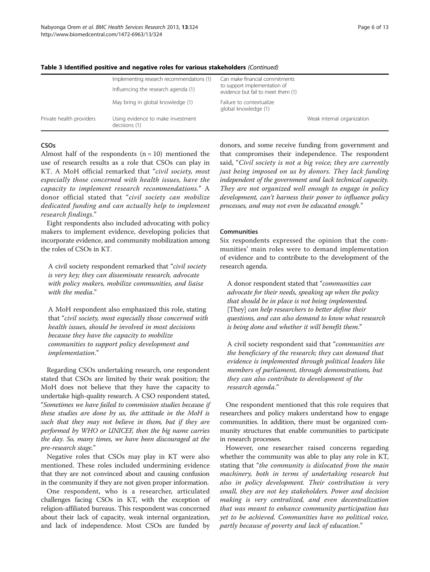|                          | Implementing research recommendations (1)<br>Influencing the research agenda (1) | Can make financial commitments<br>to support implementation of<br>evidence but fail to meet them (1) |                            |
|--------------------------|----------------------------------------------------------------------------------|------------------------------------------------------------------------------------------------------|----------------------------|
|                          | May bring in global knowledge (1)                                                | Failure to contextualize<br>global knowledge (1)                                                     |                            |
| Private health providers | Using evidence to make investment<br>decisions (1)                               |                                                                                                      | Weak internal organization |

#### Table 3 Identified positive and negative roles for various stakeholders (Continued)

#### **CSOs**

Almost half of the respondents  $(n = 10)$  mentioned the use of research results as a role that CSOs can play in KT. A MoH official remarked that "civil society, most especially those concerned with health issues, have the capacity to implement research recommendations." A donor official stated that "civil society can mobilize dedicated funding and can actually help to implement research findings."

Eight respondents also included advocating with policy makers to implement evidence, developing policies that incorporate evidence, and community mobilization among the roles of CSOs in KT.

A civil society respondent remarked that "civil society is very key; they can disseminate research, advocate with policy makers, mobilize communities, and liaise with the media."

A MoH respondent also emphasized this role, stating that "civil society, most especially those concerned with health issues, should be involved in most decisions because they have the capacity to mobilize communities to support policy development and implementation."

Regarding CSOs undertaking research, one respondent stated that CSOs are limited by their weak position; the MoH does not believe that they have the capacity to undertake high-quality research. A CSO respondent stated, "Sometimes we have failed to commission studies because if these studies are done by us, the attitude in the MoH is such that they may not believe in them, but if they are performed by WHO or UNICEF, then the big name carries the day. So, many times, we have been discouraged at the pre-research stage."

Negative roles that CSOs may play in KT were also mentioned. These roles included undermining evidence that they are not convinced about and causing confusion in the community if they are not given proper information.

One respondent, who is a researcher, articulated challenges facing CSOs in KT, with the exception of religion-affiliated bureaus. This respondent was concerned about their lack of capacity, weak internal organization, and lack of independence. Most CSOs are funded by

donors, and some receive funding from government and that compromises their independence. The respondent said, "Civil society is not a big voice; they are currently just being imposed on us by donors. They lack funding independent of the government and lack technical capacity. They are not organized well enough to engage in policy development, can't harness their power to influence policy processes, and may not even be educated enough."

#### **Communities**

Six respondents expressed the opinion that the communities' main roles were to demand implementation of evidence and to contribute to the development of the research agenda.

A donor respondent stated that "communities can advocate for their needs, speaking up when the policy that should be in place is not being implemented. [They] can help researchers to better define their questions, and can also demand to know what research is being done and whether it will benefit them."

A civil society respondent said that "communities are the beneficiary of the research; they can demand that evidence is implemented through political leaders like members of parliament, through demonstrations, but they can also contribute to development of the research agenda."

One respondent mentioned that this role requires that researchers and policy makers understand how to engage communities. In addition, there must be organized community structures that enable communities to participate in research processes.

However, one researcher raised concerns regarding whether the community was able to play any role in KT, stating that "the community is dislocated from the main machinery, both in terms of undertaking research but also in policy development. Their contribution is very small, they are not key stakeholders. Power and decision making is very centralized, and even decentralization that was meant to enhance community participation has yet to be achieved. Communities have no political voice, partly because of poverty and lack of education."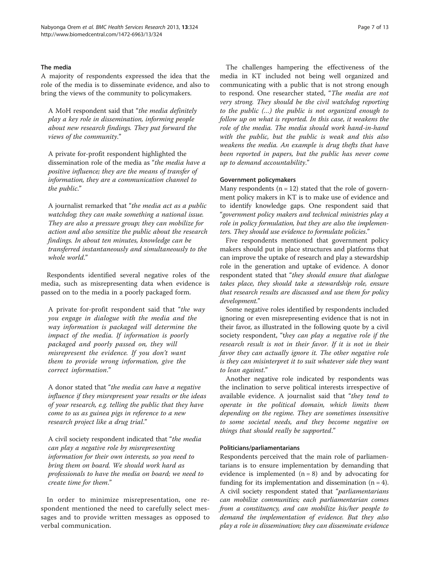#### The media

A majority of respondents expressed the idea that the role of the media is to disseminate evidence, and also to bring the views of the community to policymakers.

A MoH respondent said that "the media definitely play a key role in dissemination, informing people about new research findings. They put forward the views of the community."

A private for-profit respondent highlighted the dissemination role of the media as "the media have a positive influence; they are the means of transfer of information, they are a communication channel to the public."

A journalist remarked that "the media act as a public watchdog; they can make something a national issue. They are also a pressure group; they can mobilize for action and also sensitize the public about the research findings. In about ten minutes, knowledge can be transferred instantaneously and simultaneously to the whole world."

Respondents identified several negative roles of the media, such as misrepresenting data when evidence is passed on to the media in a poorly packaged form.

A private for-profit respondent said that "the way you engage in dialogue with the media and the way information is packaged will determine the impact of the media. If information is poorly packaged and poorly passed on, they will misrepresent the evidence. If you don't want them to provide wrong information, give the correct information."

A donor stated that "the media can have a negative influence if they misrepresent your results or the ideas of your research, e.g. telling the public that they have come to us as guinea pigs in reference to a new research project like a drug trial."

A civil society respondent indicated that "the media can play a negative role by misrepresenting information for their own interests, so you need to bring them on board. We should work hard as professionals to have the media on board; we need to create time for them."

In order to minimize misrepresentation, one respondent mentioned the need to carefully select messages and to provide written messages as opposed to verbal communication.

The challenges hampering the effectiveness of the media in KT included not being well organized and communicating with a public that is not strong enough to respond. One researcher stated, "The media are not very strong. They should be the civil watchdog reporting to the public (…) the public is not organized enough to follow up on what is reported. In this case, it weakens the role of the media. The media should work hand-in-hand with the public, but the public is weak and this also weakens the media. An example is drug thefts that have been reported in papers, but the public has never come up to demand accountability."

#### Government policymakers

Many respondents  $(n = 12)$  stated that the role of government policy makers in KT is to make use of evidence and to identify knowledge gaps. One respondent said that "government policy makers and technical ministries play a role in policy formulation, but they are also the implementers. They should use evidence to formulate policies."

Five respondents mentioned that government policy makers should put in place structures and platforms that can improve the uptake of research and play a stewardship role in the generation and uptake of evidence. A donor respondent stated that "they should ensure that dialogue takes place, they should take a stewardship role, ensure that research results are discussed and use them for policy development."

Some negative roles identified by respondents included ignoring or even misrepresenting evidence that is not in their favor, as illustrated in the following quote by a civil society respondent, "they can play a negative role if the research result is not in their favor. If it is not in their favor they can actually ignore it. The other negative role is they can misinterpret it to suit whatever side they want to lean against."

Another negative role indicated by respondents was the inclination to serve political interests irrespective of available evidence. A journalist said that "they tend to operate in the political domain, which limits them depending on the regime. They are sometimes insensitive to some societal needs, and they become negative on things that should really be supported."

#### Politicians/parliamentarians

Respondents perceived that the main role of parliamentarians is to ensure implementation by demanding that evidence is implemented  $(n = 8)$  and by advocating for funding for its implementation and dissemination  $(n = 4)$ . A civil society respondent stated that "*parliamentarians* can mobilize communities; each parliamentarian comes from a constituency, and can mobilize his/her people to demand the implementation of evidence. But they also play a role in dissemination; they can disseminate evidence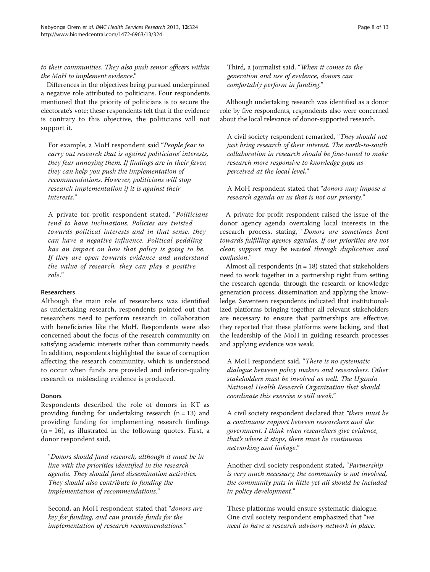to their communities. They also push senior officers within the MoH to implement evidence."

Differences in the objectives being pursued underpinned a negative role attributed to politicians. Four respondents mentioned that the priority of politicians is to secure the electorate's vote; these respondents felt that if the evidence is contrary to this objective, the politicians will not support it.

For example, a MoH respondent said "People fear to carry out research that is against politicians' interests, they fear annoying them. If findings are in their favor, they can help you push the implementation of recommendations. However, politicians will stop research implementation if it is against their interests."

A private for-profit respondent stated, "Politicians tend to have inclinations. Policies are twisted towards political interests and in that sense, they can have a negative influence. Political peddling has an impact on how that policy is going to be. If they are open towards evidence and understand the value of research, they can play a positive role."

#### Researchers

Although the main role of researchers was identified as undertaking research, respondents pointed out that researchers need to perform research in collaboration with beneficiaries like the MoH. Respondents were also concerned about the focus of the research community on satisfying academic interests rather than community needs. In addition, respondents highlighted the issue of corruption affecting the research community, which is understood to occur when funds are provided and inferior-quality research or misleading evidence is produced.

#### Donors

Respondents described the role of donors in KT as providing funding for undertaking research  $(n = 13)$  and providing funding for implementing research findings  $(n = 16)$ , as illustrated in the following quotes. First, a donor respondent said,

"Donors should fund research, although it must be in line with the priorities identified in the research agenda. They should fund dissemination activities. They should also contribute to funding the implementation of recommendations."

Second, an MoH respondent stated that "*donors are* key for funding, and can provide funds for the implementation of research recommendations."

Third, a journalist said, "When it comes to the generation and use of evidence, donors can comfortably perform in funding."

Although undertaking research was identified as a donor role by five respondents, respondents also were concerned about the local relevance of donor-supported research.

A civil society respondent remarked, "They should not just bring research of their interest. The north-to-south collaboration in research should be fine-tuned to make research more responsive to knowledge gaps as perceived at the local level,"

A MoH respondent stated that "donors may impose a research agenda on us that is not our priority."

A private for-profit respondent raised the issue of the donor agency agenda overtaking local interests in the research process, stating, "Donors are sometimes bent towards fulfilling agency agendas. If our priorities are not clear, support may be wasted through duplication and confusion."

Almost all respondents  $(n = 18)$  stated that stakeholders need to work together in a partnership right from setting the research agenda, through the research or knowledge generation process, dissemination and applying the knowledge. Seventeen respondents indicated that institutionalized platforms bringing together all relevant stakeholders are necessary to ensure that partnerships are effective; they reported that these platforms were lacking, and that the leadership of the MoH in guiding research processes and applying evidence was weak.

A MoH respondent said, "There is no systematic dialogue between policy makers and researchers. Other stakeholders must be involved as well. The Uganda National Health Research Organization that should coordinate this exercise is still weak."

A civil society respondent declared that "there must be a continuous rapport between researchers and the government. I think when researchers give evidence, that's where it stops, there must be continuous networking and linkage."

Another civil society respondent stated, "Partnership is very much necessary, the community is not involved, the community puts in little yet all should be included in policy development."

These platforms would ensure systematic dialogue. One civil society respondent emphasized that "we need to have a research advisory network in place.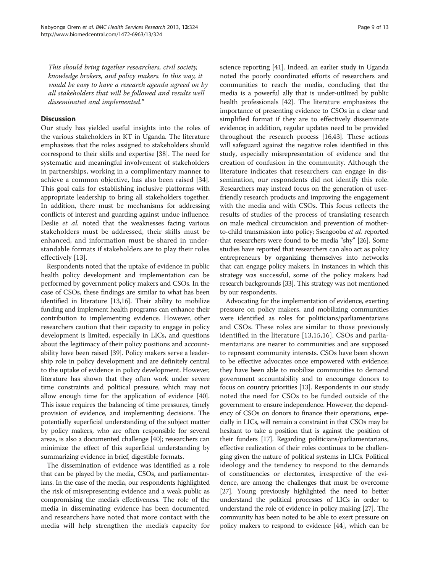This should bring together researchers, civil society, knowledge brokers, and policy makers. In this way, it would be easy to have a research agenda agreed on by all stakeholders that will be followed and results well disseminated and implemented."

#### **Discussion**

Our study has yielded useful insights into the roles of the various stakeholders in KT in Uganda. The literature emphasizes that the roles assigned to stakeholders should correspond to their skills and expertise [\[38\]](#page-12-0). The need for systematic and meaningful involvement of stakeholders in partnerships, working in a complimentary manner to achieve a common objective, has also been raised [[34](#page-11-0)]. This goal calls for establishing inclusive platforms with appropriate leadership to bring all stakeholders together. In addition, there must be mechanisms for addressing conflicts of interest and guarding against undue influence. Deslie et al. noted that the weaknesses facing various stakeholders must be addressed, their skills must be enhanced, and information must be shared in understandable formats if stakeholders are to play their roles effectively [\[13\]](#page-11-0).

Respondents noted that the uptake of evidence in public health policy development and implementation can be performed by government policy makers and CSOs. In the case of CSOs, these findings are similar to what has been identified in literature [\[13,16\]](#page-11-0). Their ability to mobilize funding and implement health programs can enhance their contribution to implementing evidence. However, other researchers caution that their capacity to engage in policy development is limited, especially in LICs, and questions about the legitimacy of their policy positions and accountability have been raised [\[39\]](#page-12-0). Policy makers serve a leadership role in policy development and are definitely central to the uptake of evidence in policy development. However, literature has shown that they often work under severe time constraints and political pressure, which may not allow enough time for the application of evidence [[40](#page-12-0)]. This issue requires the balancing of time pressures, timely provision of evidence, and implementing decisions. The potentially superficial understanding of the subject matter by policy makers, who are often responsible for several areas, is also a documented challenge [[40](#page-12-0)]; researchers can minimize the effect of this superficial understanding by summarizing evidence in brief, digestible formats.

The dissemination of evidence was identified as a role that can be played by the media, CSOs, and parliamentarians. In the case of the media, our respondents highlighted the risk of misrepresenting evidence and a weak public as compromising the media's effectiveness. The role of the media in disseminating evidence has been documented, and researchers have noted that more contact with the media will help strengthen the media's capacity for science reporting [\[41\]](#page-12-0). Indeed, an earlier study in Uganda noted the poorly coordinated efforts of researchers and communities to reach the media, concluding that the media is a powerful ally that is under-utilized by public health professionals [[42](#page-12-0)]. The literature emphasizes the importance of presenting evidence to CSOs in a clear and simplified format if they are to effectively disseminate evidence; in addition, regular updates need to be provided throughout the research process [[16](#page-11-0)[,43\]](#page-12-0). These actions will safeguard against the negative roles identified in this study, especially misrepresentation of evidence and the creation of confusion in the community. Although the literature indicates that researchers can engage in dissemination, our respondents did not identify this role. Researchers may instead focus on the generation of userfriendly research products and improving the engagement with the media and with CSOs. This focus reflects the results of studies of the process of translating research on male medical circumcision and prevention of motherto-child transmission into policy; Ssengooba et al. reported that researchers were found to be media "shy" [\[26\]](#page-11-0). Some studies have reported that researchers can also act as policy entrepreneurs by organizing themselves into networks that can engage policy makers. In instances in which this strategy was successful, some of the policy makers had research backgrounds [[33\]](#page-11-0). This strategy was not mentioned by our respondents.

Advocating for the implementation of evidence, exerting pressure on policy makers, and mobilizing communities were identified as roles for politicians/parliamentarians and CSOs. These roles are similar to those previously identified in the literature [[13,15](#page-11-0),[16\]](#page-11-0). CSOs and parliamentarians are nearer to communities and are supposed to represent community interests. CSOs have been shown to be effective advocates once empowered with evidence; they have been able to mobilize communities to demand government accountability and to encourage donors to focus on country priorities [[13](#page-11-0)]. Respondents in our study noted the need for CSOs to be funded outside of the government to ensure independence. However, the dependency of CSOs on donors to finance their operations, especially in LICs, will remain a constraint in that CSOs may be hesitant to take a position that is against the position of their funders [[17](#page-11-0)]. Regarding politicians/parliamentarians, effective realization of their roles continues to be challenging given the nature of political systems in LICs. Political ideology and the tendency to respond to the demands of constituencies or electorates, irrespective of the evidence, are among the challenges that must be overcome [[27](#page-11-0)]. Young previously highlighted the need to better understand the political processes of LICs in order to understand the role of evidence in policy making [\[27\]](#page-11-0). The community has been noted to be able to exert pressure on policy makers to respond to evidence [\[44\]](#page-12-0), which can be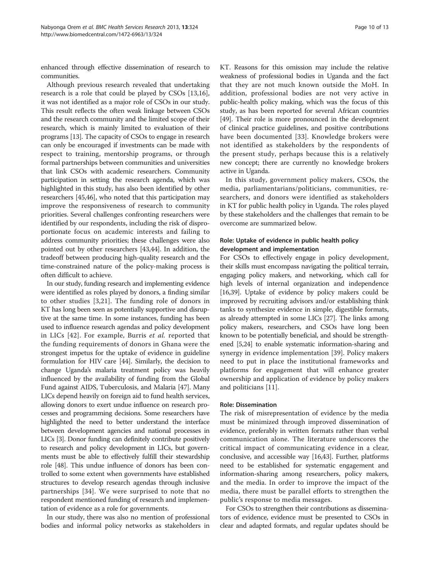enhanced through effective dissemination of research to communities.

Although previous research revealed that undertaking research is a role that could be played by CSOs [\[13,16](#page-11-0)], it was not identified as a major role of CSOs in our study. This result reflects the often weak linkage between CSOs and the research community and the limited scope of their research, which is mainly limited to evaluation of their programs [\[13\]](#page-11-0). The capacity of CSOs to engage in research can only be encouraged if investments can be made with respect to training, mentorship programs, or through formal partnerships between communities and universities that link CSOs with academic researchers. Community participation in setting the research agenda, which was highlighted in this study, has also been identified by other researchers [[45](#page-12-0),[46](#page-12-0)], who noted that this participation may improve the responsiveness of research to community priorities. Several challenges confronting researchers were identified by our respondents, including the risk of disproportionate focus on academic interests and failing to address community priorities; these challenges were also pointed out by other researchers [\[43,44](#page-12-0)]. In addition, the tradeoff between producing high-quality research and the time-constrained nature of the policy-making process is often difficult to achieve.

In our study, funding research and implementing evidence were identified as roles played by donors, a finding similar to other studies [\[3](#page-11-0),[21](#page-11-0)]. The funding role of donors in KT has long been seen as potentially supportive and disruptive at the same time. In some instances, funding has been used to influence research agendas and policy development in LICs [[42\]](#page-12-0). For example, Burris et al. reported that the funding requirements of donors in Ghana were the strongest impetus for the uptake of evidence in guideline formulation for HIV care [\[44\]](#page-12-0). Similarly, the decision to change Uganda's malaria treatment policy was heavily influenced by the availability of funding from the Global Fund against AIDS, Tuberculosis, and Malaria [[47](#page-12-0)]. Many LICs depend heavily on foreign aid to fund health services, allowing donors to exert undue influence on research processes and programming decisions. Some researchers have highlighted the need to better understand the interface between development agencies and national processes in LICs [\[3\]](#page-11-0). Donor funding can definitely contribute positively to research and policy development in LICs, but governments must be able to effectively fulfill their stewardship role [\[48\]](#page-12-0). This undue influence of donors has been controlled to some extent when governments have established structures to develop research agendas through inclusive partnerships [[34](#page-11-0)]. We were surprised to note that no respondent mentioned funding of research and implementation of evidence as a role for governments.

In our study, there was also no mention of professional bodies and informal policy networks as stakeholders in KT. Reasons for this omission may include the relative weakness of professional bodies in Uganda and the fact that they are not much known outside the MoH. In addition, professional bodies are not very active in public-health policy making, which was the focus of this study, as has been reported for several African countries [[49](#page-12-0)]. Their role is more pronounced in the development of clinical practice guidelines, and positive contributions have been documented [[33](#page-11-0)]. Knowledge brokers were not identified as stakeholders by the respondents of

active in Uganda. In this study, government policy makers, CSOs, the media, parliamentarians/politicians, communities, researchers, and donors were identified as stakeholders in KT for public health policy in Uganda. The roles played by these stakeholders and the challenges that remain to be overcome are summarized below.

the present study, perhaps because this is a relatively new concept; there are currently no knowledge brokers

#### Role: Uptake of evidence in public health policy development and implementation

For CSOs to effectively engage in policy development, their skills must encompass navigating the political terrain, engaging policy makers, and networking, which call for high levels of internal organization and independence [[16](#page-11-0),[39](#page-12-0)]. Uptake of evidence by policy makers could be improved by recruiting advisors and/or establishing think tanks to synthesize evidence in simple, digestible formats, as already attempted in some LICs [[27\]](#page-11-0). The links among policy makers, researchers, and CSOs have long been known to be potentially beneficial, and should be strengthened [[5,24\]](#page-11-0) to enable systematic information-sharing and synergy in evidence implementation [[39](#page-12-0)]. Policy makers need to put in place the institutional frameworks and platforms for engagement that will enhance greater ownership and application of evidence by policy makers and politicians [\[11](#page-11-0)].

#### Role: Dissemination

The risk of misrepresentation of evidence by the media must be minimized through improved dissemination of evidence, preferably in written formats rather than verbal communication alone. The literature underscores the critical impact of communicating evidence in a clear, conclusive, and accessible way [\[16,](#page-11-0)[43](#page-12-0)]. Further, platforms need to be established for systematic engagement and information-sharing among researchers, policy makers, and the media. In order to improve the impact of the media, there must be parallel efforts to strengthen the public's response to media messages.

For CSOs to strengthen their contributions as disseminators of evidence, evidence must be presented to CSOs in clear and adapted formats, and regular updates should be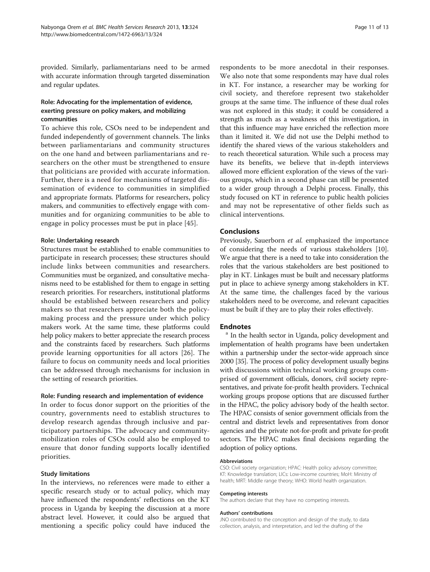provided. Similarly, parliamentarians need to be armed with accurate information through targeted dissemination and regular updates.

#### Role: Advocating for the implementation of evidence, exerting pressure on policy makers, and mobilizing communities

To achieve this role, CSOs need to be independent and funded independently of government channels. The links between parliamentarians and community structures on the one hand and between parliamentarians and researchers on the other must be strengthened to ensure that politicians are provided with accurate information. Further, there is a need for mechanisms of targeted dissemination of evidence to communities in simplified and appropriate formats. Platforms for researchers, policy makers, and communities to effectively engage with communities and for organizing communities to be able to engage in policy processes must be put in place [[45\]](#page-12-0).

#### Role: Undertaking research

Structures must be established to enable communities to participate in research processes; these structures should include links between communities and researchers. Communities must be organized, and consultative mechanisms need to be established for them to engage in setting research priorities. For researchers, institutional platforms should be established between researchers and policy makers so that researchers appreciate both the policymaking process and the pressure under which policy makers work. At the same time, these platforms could help policy makers to better appreciate the research process and the constraints faced by researchers. Such platforms provide learning opportunities for all actors [\[26](#page-11-0)]. The failure to focus on community needs and local priorities can be addressed through mechanisms for inclusion in the setting of research priorities.

#### Role: Funding research and implementation of evidence

In order to focus donor support on the priorities of the country, governments need to establish structures to develop research agendas through inclusive and participatory partnerships. The advocacy and communitymobilization roles of CSOs could also be employed to ensure that donor funding supports locally identified priorities.

#### Study limitations

In the interviews, no references were made to either a specific research study or to actual policy, which may have influenced the respondents' reflections on the KT process in Uganda by keeping the discussion at a more abstract level. However, it could also be argued that mentioning a specific policy could have induced the

respondents to be more anecdotal in their responses. We also note that some respondents may have dual roles in KT. For instance, a researcher may be working for civil society, and therefore represent two stakeholder groups at the same time. The influence of these dual roles was not explored in this study; it could be considered a strength as much as a weakness of this investigation, in that this influence may have enriched the reflection more than it limited it. We did not use the Delphi method to identify the shared views of the various stakeholders and to reach theoretical saturation. While such a process may have its benefits, we believe that in-depth interviews allowed more efficient exploration of the views of the various groups, which in a second phase can still be presented to a wider group through a Delphi process. Finally, this study focused on KT in reference to public health policies and may not be representative of other fields such as clinical interventions.

#### Conclusions

Previously, Sauerborn et al. emphasized the importance of considering the needs of various stakeholders [\[10](#page-11-0)]. We argue that there is a need to take into consideration the roles that the various stakeholders are best positioned to play in KT. Linkages must be built and necessary platforms put in place to achieve synergy among stakeholders in KT. At the same time, the challenges faced by the various stakeholders need to be overcome, and relevant capacities must be built if they are to play their roles effectively.

**Endnotes**<br><sup>a</sup> In the health sector in Uganda, policy development and implementation of health programs have been undertaken within a partnership under the sector-wide approach since 2000 [\[35](#page-11-0)]. The process of policy development usually begins with discussions within technical working groups comprised of government officials, donors, civil society representatives, and private for-profit health providers. Technical working groups propose options that are discussed further in the HPAC, the policy advisory body of the health sector. The HPAC consists of senior government officials from the central and district levels and representatives from donor agencies and the private not-for-profit and private for-profit sectors. The HPAC makes final decisions regarding the adoption of policy options.

#### Abbreviations

CSO: Civil society organization; HPAC: Health policy advisory committee; KT: Knowledge translation; LICs: Low-income countries; MoH: Ministry of health; MRT: Middle range theory; WHO: World health organization.

#### Competing interests

The authors declare that they have no competing interests.

#### Authors' contributions

JNO contributed to the conception and design of the study, to data collection, analysis, and interpretation, and led the drafting of the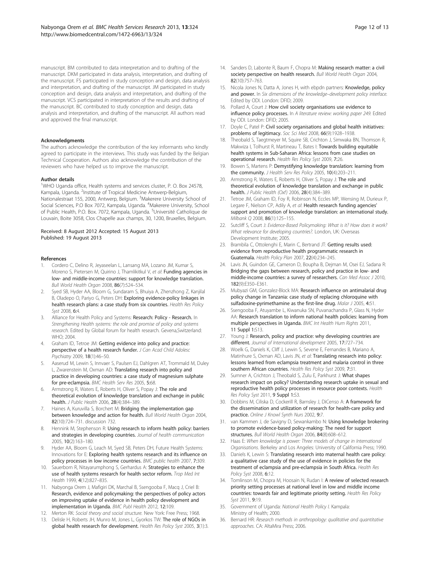<span id="page-11-0"></span>manuscript. BM contributed to data interpretation and to drafting of the manuscript. DKM participated in data analysis, interpretation, and drafting of the manuscript. FS participated in study conception and design, data analysis and interpretation, and drafting of the manuscript. JM participated in study conception and design, data analysis and interpretation, and drafting of the manuscript. VCS participated in interpretation of the results and drafting of the manuscript. BC contributed to study conception and design, data analysis and interpretation, and drafting of the manuscript. All authors read and approved the final manuscript.

#### Acknowledgments

The authors acknowledge the contribution of the key informants who kindly agreed to participate in the interviews. This study was funded by the Belgian Technical Cooperation. Authors also acknowledge the contribution of the reviewers who have helped us to improve the manuscript.

#### Author details

<sup>1</sup>WHO Uganda office, Health systems and services cluster, P. O. Box 24578, Kampala, Uganda. <sup>2</sup>Institute of Tropical Medicine Antwerp-Belgium, Nationalestraat 155, 2000, Antwerp, Belgium. <sup>3</sup>Makerere University School of Social Sciences, P.O Box 7072, Kampala, Uganda. <sup>4</sup>Makerere University, School of Public Health, P.O. Box. 7072, Kampala, Uganda. <sup>5</sup>Université Catholique de Louvain, Boite 3058, Clos Chapelle aux champs, 30, 1200, Bruxelles, Belgium.

#### Received: 8 August 2012 Accepted: 15 August 2013 Published: 19 August 2013

#### References

- Cordero C, Delino R, Jeyaseelan L, Lansang MA, Lozano JM, Kumar S, Moreno S, Pietersen M, Quirino J, Thamlikitkul V, et al: Funding agencies in low- and middle-income countries: support for knowledge translation. Bull World Health Organ 2008, 86(7):524–534.
- 2. Syed SB, Hyder AA, Bloom G, Sundaram S, Bhuiya A, Zhenzhong Z, Kanjilal B, Oladepo O, Pariyo G, Peters DH: Exploring evidence-policy linkages in health research plans: a case study from six countries. Health Res Policy Syst 2008, 6:4.
- Alliance for Health Policy and Systems: Research: Policy Research. In Strengthening Health systems: the role and promise of policy and systems research. Edited by Global forum for health research. Gevena,Switzerland: WHO; 2004.
- 4. Graham ID, Tetroe JM: Getting evidence into policy and practice: perspective of a health research funder. J Can Acad Child Adolesc Psychiatry 2009, 18(1):46–50.
- 5. Aaserud M, Lewin S, Innvaer S, Paulsen EJ, Dahlgren AT, Trommald M, Duley L, Zwarenstein M, Oxman AD: Translating research into policy and practice in developing countries: a case study of magnesium sulphate for pre-eclampsia. BMC Health Serv Res 2005, 5:68.
- 6. Armstrong R, Waters E, Roberts H, Oliver S, Popay J: The role and theoretical evolution of knowledge translation and exchange in public health. J Public Health 2006, 28(4):384–389.
- 7. Haines A, Kuruvilla S, Borchert M: Bridging the implementation gap between knowledge and action for health. Bull World Health Organ 2004, 82(10):724–731. discussion 732.
- 8. Hennink M, Stephenson R: Using research to inform health policy: barriers and strategies in developing countries. Journal of health communication 2005, 10(2):163–180.
- Hyder AA, Bloom G, Leach M, Syed SB, Peters DH, Future Health Systems: Innovations for E: Exploring health systems research and its influence on policy processes in low income countries. BMC public health 2007, 7:309.
- 10. Sauerborn R, Nitayarumphong S, Gerhardus A: Strategies to enhance the use of health systems research for health sector reform. Trop Med Int Health 1999, 4(12):827–835.
- 11. Nabyonga Orem J, Mafigiri DK, Marchal B, Ssengooba F, Macq J, Criel B: Research, evidence and policymaking: the perspectives of policy actors on improving uptake of evidence in health policy development and implementation in Uganda. BMC Publ Health 2012, 12:109.
- 12. Merton RK: Social theory and social structure. New York: Free Press; 1968.
- 13. Delisle H, Roberts JH, Munro M, Jones L, Gyorkos TW: The role of NGOs in global health research for development. Health Res Policy Syst 2005, 3(1):3.
- 14. Sanders D, Labonte R, Baum F, Chopra M: Making research matter: a civil society perspective on health research. Bull World Health Organ 2004,
- 15. Nicola Jones N, Datta A, Jones H, with ebpdn partners: Knowledge, policy and power. In Six dimensions of the knowledge-development policy interface. Edited by ODI. London: DFID; 2009.

82(10):757–763.

- 16. Pollard A, Court J: How civil society organisations use evidence to influence policy processes. In A literature review: working paper 249. Edited by ODI. London: DFID; 2005.
- 17. Doyle C, Patel P: Civil society organisations and global health initiatives: problems of legitimacy. Soc Sci Med 2008, 66(9):1928–1938.
- 18. Theobald S, Taegtmeyer M, Squire SB, Crichton J, Simwaka BN, Thomson R, Makwiza I, Tolhurst R, Martineau T, Bates I: Towards building equitable health systems in Sub-Saharan Africa: lessons from case studies on operational research. Health Res Policy Syst 2009, 7:26.
- 19. Bowen S, Martens P: Demystifying knowledge translation: learning from the community. J Health Serv Res Policy 2005, 10(4):203–211.
- 20. Armstrong R, Waters E, Roberts H, Oliver S, Popay J: The role and theoretical evolution of knowledge translation and exchange in public health. J Public Health (Oxf) 2006, 28(4):384–389.
- 21. Tetroe JM, Graham ID, Foy R, Robinson N, Eccles MP, Wensing M, Durieux P, Legare F, Nielson CP, Adily A, et al: Health research funding agencies support and promotion of knowledge translation: an international study. Milbank Q 2008, 86(1):125–155.
- 22. Sutcliff S, Court J: Evidence-Based Policymaking: What is it? How does it work? What relevance for developing countries?. London, UK: Overseas Development Institute; 2005.
- 23. Brambila C, Ottolenghi E, Marin C, Bertrand JT: Getting results used: evidence from reproductive health programmatic research in Guatemala. Health Policy Plan 2007, 22(4):234–245.
- 24. Lavis JN, Guindon GE, Cameron D, Boupha B, Dejman M, Osei EJ, Sadana R: Bridging the gaps between research, policy and practice in low- and middle-income countries: a survey of researchers. Can Med Assoc J 2010, 182(9):E350–E361.
- 25. Mubyazi GM, Gonzalez-Block MA: Research influence on antimalarial drug policy change in Tanzania: case study of replacing chloroquine with sulfadoxine-pyrimethamine as the first-line drug. Malar J 2005, 4:51.
- 26. Ssengooba F, Atuyambe L, Kiwanuka SN, Puvanachandra P, Glass N, Hyder AA: Research translation to inform national health policies: learning from multiple perspectives in Uganda. BMC Int Health Hum Rights 2011, 11 Suppl 1:S13.
- 27. Young J: Research, policy and practice: why developing countries are different. Journal of International development 2005, 17:727–734.
- 28. Woelk G, Daniels K, Cliff J, Lewin S, Sevene E, Fernandes B, Mariano A, Matinhure S, Oxman AD, Lavis JN, et al: Translating research into policy: lessons learned from eclampsia treatment and malaria control in three southern African countries. Health Res Policy Syst 2009, 7:31.
- 29. Sumner A, Crichton J, Theobald S, Zulu E, Parkhurst J: What shapes research impact on policy? Understanding research uptake in sexual and reproductive health policy processes in resource poor contexts. Health Res Policy Syst 2011, 9 Suppl 1:S3.
- 30. Dobbins M, Ciliska D, Cockerill R, Barnsley J, DiCenso A: A framework for the dissemination and utilization of research for health-care policy and practice. Online J Knowl Synth Nurs 2002, 9:7.
- 31. van Kammen J, de Savigny D, Sewankambo N: Using knowledge brokering to promote evidence-based policy-making: The need for support structures. Bull World Health Organ 2006, 84(8):608–612.
- 32. Haas E: When knowledge is power: Three models of change in International Organisations. Berkeley and Los Angeles: University of California Press; 1990.
- 33. Daniels K, Lewin S: Translating research into maternal health care policy: a qualitative case study of the use of evidence in policies for the treatment of eclampsia and pre-eclampsia in South Africa. Health Res Policy Syst 2008, 6:12.
- 34. Tomlinson M, Chopra M, Hoosain N, Rudan I: A review of selected research priority setting processes at national level in low and middle income countries: towards fair and legitimate priority setting. Health Res Policy Syst 2011, 9:19.
- 35. Government of Uganda: National Health Policy I. Kampala: Ministry of Health; 2000.
- 36. Bernard HR: Research methods in anthropology: qualitative and quantitative approaches. CA: AltaMira Press; 2006.